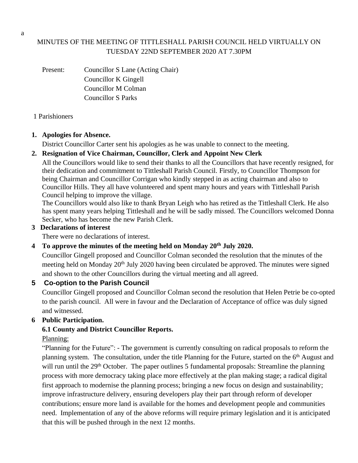# MINUTES OF THE MEETING OF TITTLESHALL PARISH COUNCIL HELD VIRTUALLY ON TUESDAY 22ND SEPTEMBER 2020 AT 7.30PM

Present: Councillor S Lane (Acting Chair) Councillor K Gingell Councillor M Colman Councillor S Parks

#### 1 Parishioners

### **1. Apologies for Absence.**

District Councillor Carter sent his apologies as he was unable to connect to the meeting.

### **2. Resignation of Vice Chairman, Councillor, Clerk and Appoint New Clerk**

All the Councillors would like to send their thanks to all the Councillors that have recently resigned, for their dedication and commitment to Tittleshall Parish Council. Firstly, to Councillor Thompson for being Chairman and Councillor Corrigan who kindly stepped in as acting chairman and also to Councillor Hills. They all have volunteered and spent many hours and years with Tittleshall Parish Council helping to improve the village.

The Councillors would also like to thank Bryan Leigh who has retired as the Tittleshall Clerk. He also has spent many years helping Tittleshall and he will be sadly missed. The Councillors welcomed Donna Secker, who has become the new Parish Clerk.

#### **3 Declarations of interest**

There were no declarations of interest.

### **4 To approve the minutes of the meeting held on Monday 20th July 2020.**

Councillor Gingell proposed and Councillor Colman seconded the resolution that the minutes of the meeting held on Monday 20<sup>th</sup> July 2020 having been circulated be approved. The minutes were signed and shown to the other Councillors during the virtual meeting and all agreed.

### **5 Co-option to the Parish Council**

Councillor Gingell proposed and Councillor Colman second the resolution that Helen Petrie be co-opted to the parish council. All were in favour and the Declaration of Acceptance of office was duly signed and witnessed.

### **6 Public Participation.**

## **6.1 County and District Councillor Reports.**

### Planning:

"Planning for the Future": - The government is currently consulting on radical proposals to reform the planning system. The consultation, under the title Planning for the Future, started on the 6<sup>th</sup> August and will run until the 29<sup>th</sup> October. The paper outlines 5 fundamental proposals: Streamline the planning process with more democracy taking place more effectively at the plan making stage; a radical digital first approach to modernise the planning process; bringing a new focus on design and sustainability; improve infrastructure delivery, ensuring developers play their part through reform of developer contributions; ensure more land is available for the homes and development people and communities need. Implementation of any of the above reforms will require primary legislation and it is anticipated that this will be pushed through in the next 12 months.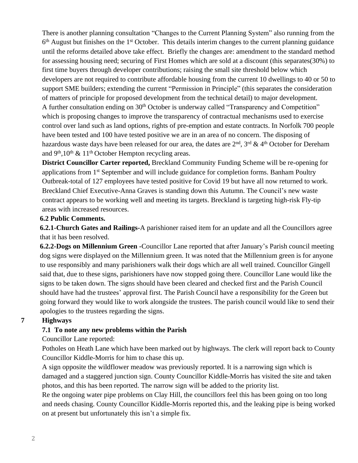There is another planning consultation "Changes to the Current Planning System" also running from the 6<sup>th</sup> August but finishes on the 1<sup>st</sup> October. This details interim changes to the current planning guidance until the reforms detailed above take effect. Briefly the changes are: amendment to the standard method for assessing housing need; securing of First Homes which are sold at a discount (this separates(30%) to first time buyers through developer contributions; raising the small site threshold below which developers are not required to contribute affordable housing from the current 10 dwellings to 40 or 50 to support SME builders; extending the current "Permission in Principle" (this separates the consideration of matters of principle for proposed development from the technical detail) to major development. A further consultation ending on 30<sup>th</sup> October is underway called "Transparency and Competition" which is proposing changes to improve the transparency of contractual mechanisms used to exercise control over land such as land options, rights of pre-emption and estate contracts. In Norfolk 700 people have been tested and 100 have tested positive we are in an area of no concern. The disposing of hazardous waste days have been released for our area, the dates are  $2^{\text{nd}}$ ,  $3^{\text{rd}}$  &  $4^{\text{th}}$  October for Dereham and  $9<sup>th</sup>, 10<sup>th</sup>$  & 11<sup>th</sup> October Hempton recycling areas.

**District Councillor Carter reported,** Breckland Community Funding Scheme will be re-opening for applications from 1<sup>st</sup> September and will include guidance for completion forms. Banham Poultry Outbreak-total of 127 employees have tested positive for Covid 19 but have all now returned to work. Breckland Chief Executive-Anna Graves is standing down this Autumn. The Council's new waste contract appears to be working well and meeting its targets. Breckland is targeting high-risk Fly-tip areas with increased resources.

#### **6.2 Public Comments.**

**6.2.1-Church Gates and Railings-**A parishioner raised item for an update and all the Councillors agree that it has been resolved.

**6.2.2-Dogs on Millennium Green -**Councillor Lane reported that after January's Parish council meeting dog signs were displayed on the Millennium green. It was noted that the Millennium green is for anyone to use responsibly and many parishioners walk their dogs which are all well trained. Councillor Gingell said that, due to these signs, parishioners have now stopped going there. Councillor Lane would like the signs to be taken down. The signs should have been cleared and checked first and the Parish Council should have had the trustees' approval first. The Parish Council have a responsibility for the Green but going forward they would like to work alongside the trustees. The parish council would like to send their apologies to the trustees regarding the signs.

### **7 Highways**

### **7.1 To note any new problems within the Parish**

Councillor Lane reported:

Potholes on Heath Lane which have been marked out by highways. The clerk will report back to County Councillor Kiddle-Morris for him to chase this up.

A sign opposite the wildflower meadow was previously reported. It is a narrowing sign which is damaged and a staggered junction sign. County Councillor Kiddle-Morris has visited the site and taken photos, and this has been reported. The narrow sign will be added to the priority list.

Re the ongoing water pipe problems on Clay Hill, the councillors feel this has been going on too long and needs chasing. County Councillor Kiddle-Morris reported this, and the leaking pipe is being worked on at present but unfortunately this isn't a simple fix.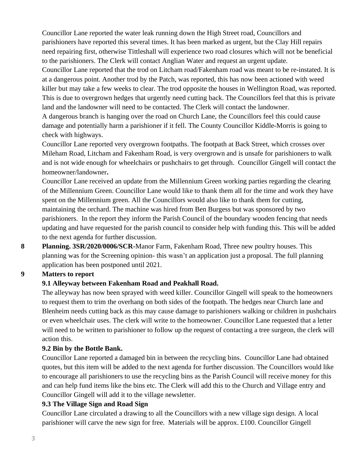Councillor Lane reported the water leak running down the High Street road, Councillors and parishioners have reported this several times. It has been marked as urgent, but the Clay Hill repairs need repairing first, otherwise Tittleshall will experience two road closures which will not be beneficial to the parishioners. The Clerk will contact Anglian Water and request an urgent update.

Councillor Lane reported that the trod on Litcham road/Fakenham road was meant to be re-instated. It is at a dangerous point. Another trod by the Patch, was reported, this has now been actioned with weed killer but may take a few weeks to clear. The trod opposite the houses in Wellington Road, was reported. This is due to overgrown hedges that urgently need cutting back. The Councillors feel that this is private land and the landowner will need to be contacted. The Clerk will contact the landowner.

A dangerous branch is hanging over the road on Church Lane, the Councillors feel this could cause damage and potentially harm a parishioner if it fell. The County Councillor Kiddle-Morris is going to check with highways.

Councillor Lane reported very overgrown footpaths. The footpath at Back Street, which crosses over Mileham Road, Litcham and Fakenham Road, is very overgrown and is unsafe for parishioners to walk and is not wide enough for wheelchairs or pushchairs to get through. Councillor Gingell will contact the homeowner/landowner**.**

Councillor Lane received an update from the Millennium Green working parties regarding the clearing of the Millennium Green. Councillor Lane would like to thank them all for the time and work they have spent on the Millennium green. All the Councillors would also like to thank them for cutting, maintaining the orchard. The machine was hired from Ben Burgess but was sponsored by two parishioners. In the report they inform the Parish Council of the boundary wooden fencing that needs updating and have requested for the parish council to consider help with funding this. This will be added to the next agenda for further discussion.

**8 Planning. 3SR/2020/0006/SCR-**Manor Farm, Fakenham Road, Three new poultry houses. This planning was for the Screening opinion- this wasn't an application just a proposal. The full planning application has been postponed until 2021.

### **9 Matters to report**

## **9.1 Alleyway between Fakenham Road and Peakhall Road.**

The alleyway has now been sprayed with weed killer. Councillor Gingell will speak to the homeowners to request them to trim the overhang on both sides of the footpath. The hedges near Church lane and Blenheim needs cutting back as this may cause damage to parishioners walking or children in pushchairs or even wheelchair uses. The clerk will write to the homeowner. Councillor Lane requested that a letter will need to be written to parishioner to follow up the request of contacting a tree surgeon, the clerk will action this.

### **9.2 Bin by the Bottle Bank.**

Councillor Lane reported a damaged bin in between the recycling bins. Councillor Lane had obtained quotes, but this item will be added to the next agenda for further discussion. The Councillors would like to encourage all parishioners to use the recycling bins as the Parish Council will receive money for this and can help fund items like the bins etc. The Clerk will add this to the Church and Village entry and Councillor Gingell will add it to the village newsletter.

### **9.3 The Village Sign and Road Sign**

Councillor Lane circulated a drawing to all the Councillors with a new village sign design. A local parishioner will carve the new sign for free. Materials will be approx. £100. Councillor Gingell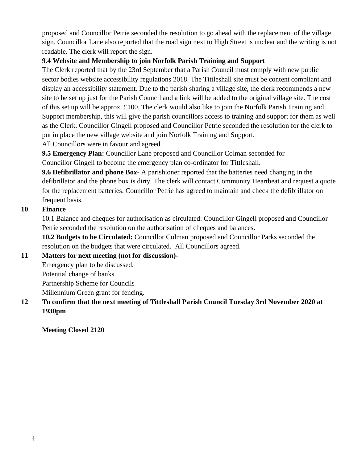proposed and Councillor Petrie seconded the resolution to go ahead with the replacement of the village sign. Councillor Lane also reported that the road sign next to High Street is unclear and the writing is not readable. The clerk will report the sign.

## **9.4 Website and Membership to join Norfolk Parish Training and Support**

The Clerk reported that by the 23rd September that a Parish Council must comply with new public sector bodies website accessibility regulations 2018. The Tittleshall site must be content compliant and display an accessibility statement. Due to the parish sharing a village site, the clerk recommends a new site to be set up just for the Parish Council and a link will be added to the original village site. The cost of this set up will be approx. £100. The clerk would also like to join the Norfolk Parish Training and Support membership, this will give the parish councillors access to training and support for them as well as the Clerk. Councillor Gingell proposed and Councillor Petrie seconded the resolution for the clerk to put in place the new village website and join Norfolk Training and Support.

All Councillors were in favour and agreed.

**9.5 Emergency Plan:** Councillor Lane proposed and Councillor Colman seconded for Councillor Gingell to become the emergency plan co-ordinator for Tittleshall.

**9.6 Defibrillator and phone Box-** A parishioner reported that the batteries need changing in the defibrillator and the phone box is dirty. The clerk will contact Community Heartbeat and request a quote for the replacement batteries. Councillor Petrie has agreed to maintain and check the defibrillator on frequent basis.

## **10 Finance**

10.1 Balance and cheques for authorisation as circulated: Councillor Gingell proposed and Councillor Petrie seconded the resolution on the authorisation of cheques and balances.

**10.2 Budgets to be Circulated:** Councillor Colman proposed and Councillor Parks seconded the resolution on the budgets that were circulated. All Councillors agreed.

## **11 Matters for next meeting (not for discussion)-**

Emergency plan to be discussed.

Potential change of banks

Partnership Scheme for Councils

Millennium Green grant for fencing.

## **12 To confirm that the next meeting of Tittleshall Parish Council Tuesday 3rd November 2020 at 1930pm**

**Meeting Closed 2120**